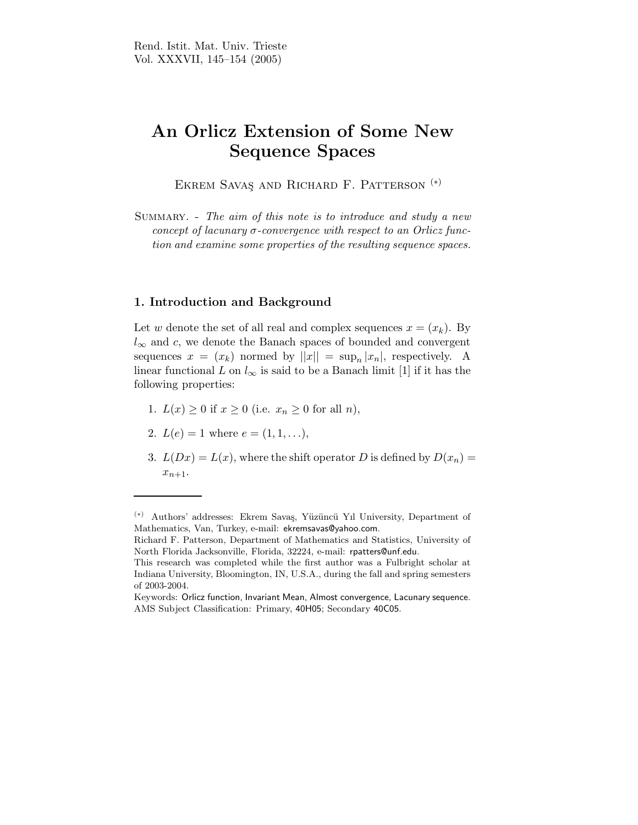## An Orlicz Extension of Some New Sequence Spaces

Ekrem Savas¸ and Richard F. Patterson (∗)

SUMMARY. - The aim of this note is to introduce and study a new concept of lacunary  $\sigma$ -convergence with respect to an Orlicz function and examine some properties of the resulting sequence spaces.

## 1. Introduction and Background

Let w denote the set of all real and complex sequences  $x = (x_k)$ . By  $l_{\infty}$  and c, we denote the Banach spaces of bounded and convergent sequences  $x = (x_k)$  normed by  $||x|| = \sup_n |x_n|$ , respectively. A linear functional L on  $l_{\infty}$  is said to be a Banach limit [1] if it has the following properties:

- 1.  $L(x) \geq 0$  if  $x \geq 0$  (i.e.  $x_n \geq 0$  for all n),
- 2.  $L(e) = 1$  where  $e = (1, 1, \ldots),$
- 3.  $L(Dx) = L(x)$ , where the shift operator D is defined by  $D(x_n) =$  $x_{n+1}$ .

<sup>(</sup>∗) Authors' addresses: Ekrem Sava¸s, Y¨uz¨unc¨u Yıl University, Department of Mathematics, Van, Turkey, e-mail: ekremsavas@yahoo.com.

Richard F. Patterson, Department of Mathematics and Statistics, University of North Florida Jacksonville, Florida, 32224, e-mail: rpatters@unf.edu.

This research was completed while the first author was a Fulbright scholar at Indiana University, Bloomington, IN, U.S.A., during the fall and spring semesters of 2003-2004.

Keywords: Orlicz function, Invariant Mean, Almost convergence, Lacunary sequence. AMS Subject Classification: Primary, 40H05; Secondary 40C05.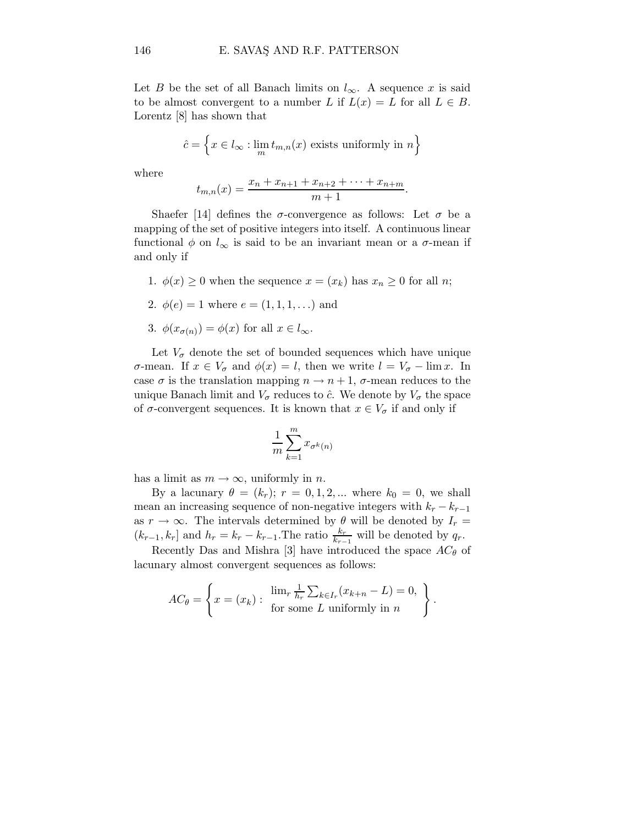Let B be the set of all Banach limits on  $l_{\infty}$ . A sequence x is said to be almost convergent to a number L if  $L(x) = L$  for all  $L \in B$ . Lorentz [8] has shown that

$$
\hat{c} = \left\{ x \in l_{\infty} : \lim_{m} t_{m,n}(x) \text{ exists uniformly in } n \right\}
$$

where

$$
t_{m,n}(x) = \frac{x_n + x_{n+1} + x_{n+2} + \dots + x_{n+m}}{m+1}.
$$

Shaefer [14] defines the  $\sigma$ -convergence as follows: Let  $\sigma$  be a mapping of the set of positive integers into itself. A continuous linear functional  $\phi$  on  $l_{\infty}$  is said to be an invariant mean or a  $\sigma$ -mean if and only if

- 1.  $\phi(x) \geq 0$  when the sequence  $x = (x_k)$  has  $x_n \geq 0$  for all *n*;
- 2.  $\phi(e) = 1$  where  $e = (1, 1, 1, ...)$  and
- 3.  $\phi(x_{\sigma(n)}) = \phi(x)$  for all  $x \in l_{\infty}$ .

Let  $V_{\sigma}$  denote the set of bounded sequences which have unique σ-mean. If  $x \in V_{\sigma}$  and  $\phi(x) = l$ , then we write  $l = V_{\sigma} - \lim x$ . In case  $\sigma$  is the translation mapping  $n \to n+1$ ,  $\sigma$ -mean reduces to the unique Banach limit and  $V_{\sigma}$  reduces to  $\hat{c}$ . We denote by  $V_{\sigma}$  the space of  $\sigma$ -convergent sequences. It is known that  $x \in V_{\sigma}$  if and only if

$$
\frac{1}{m}\sum_{k=1}^m x_{\sigma^k(n)}
$$

has a limit as  $m \to \infty$ , uniformly in n.

By a lacunary  $\theta = (k_r); r = 0, 1, 2, ...$  where  $k_0 = 0$ , we shall mean an increasing sequence of non-negative integers with  $k_r - k_{r-1}$ as  $r \to \infty$ . The intervals determined by  $\theta$  will be denoted by  $I_r =$  $(k_{r-1}, k_r]$  and  $h_r = k_r - k_{r-1}$ . The ratio  $\frac{k_r}{k_{r-1}}$  will be denoted by  $q_r$ .

Recently Das and Mishra [3] have introduced the space  $AC_{\theta}$  of lacunary almost convergent sequences as follows:

$$
AC_{\theta} = \left\{ x = (x_k) : \begin{array}{c} \lim_{r} \frac{1}{h_r} \sum_{k \in I_r} (x_{k+n} - L) = 0, \\ \text{for some } L \text{ uniformly in } n \end{array} \right\}.
$$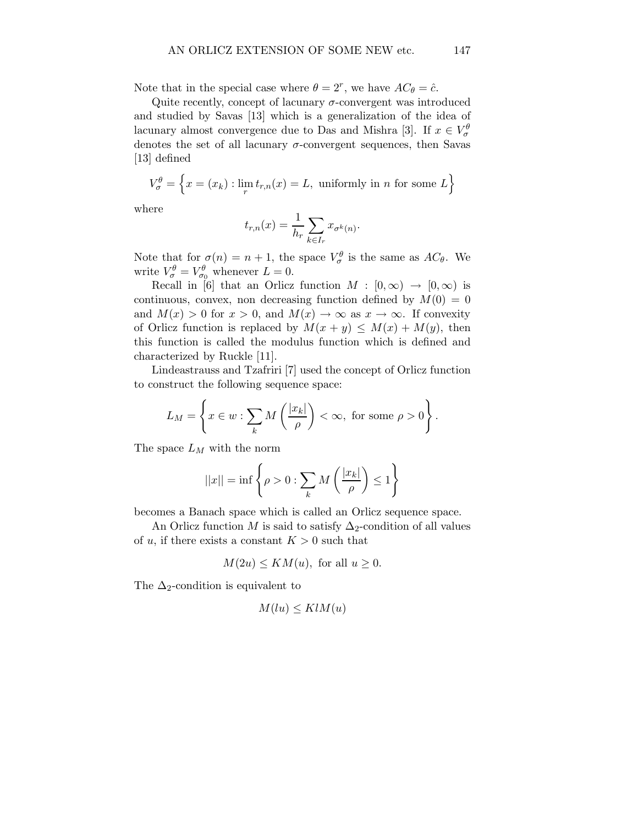Note that in the special case where  $\theta = 2^r$ , we have  $AC_{\theta} = \hat{c}$ .

Quite recently, concept of lacunary  $\sigma$ -convergent was introduced and studied by Savas [13] which is a generalization of the idea of lacunary almost convergence due to Das and Mishra [3]. If  $x \in V^{\theta}_{\sigma}$ denotes the set of all lacunary  $\sigma$ -convergent sequences, then Savas [13] defined

$$
V_{\sigma}^{\theta} = \left\{ x = (x_k) : \lim_{r} t_{r,n}(x) = L, \text{ uniformly in } n \text{ for some } L \right\}
$$

where

$$
t_{r,n}(x) = \frac{1}{h_r} \sum_{k \in I_r} x_{\sigma^k(n)}.
$$

Note that for  $\sigma(n) = n + 1$ , the space  $V_{\sigma}^{\theta}$  is the same as  $AC_{\theta}$ . We write  $V_{\sigma}^{\theta} = V_{\sigma_0}^{\theta}$  whenever  $L = 0$ .

Recall in [6] that an Orlicz function  $M : [0, \infty) \to [0, \infty)$  is continuous, convex, non decreasing function defined by  $M(0) = 0$ and  $M(x) > 0$  for  $x > 0$ , and  $M(x) \to \infty$  as  $x \to \infty$ . If convexity of Orlicz function is replaced by  $M(x + y) \leq M(x) + M(y)$ , then this function is called the modulus function which is defined and characterized by Ruckle [11].

Lindeastrauss and Tzafriri [7] used the concept of Orlicz function to construct the following sequence space:

$$
L_M = \left\{ x \in w : \sum_k M\left(\frac{|x_k|}{\rho}\right) < \infty, \text{ for some } \rho > 0 \right\}.
$$

The space  $L_M$  with the norm

$$
||x|| = \inf \left\{ \rho > 0 : \sum_{k} M\left(\frac{|x_k|}{\rho}\right) \le 1 \right\}
$$

becomes a Banach space which is called an Orlicz sequence space.

An Orlicz function M is said to satisfy  $\Delta_2$ -condition of all values of u, if there exists a constant  $K > 0$  such that

$$
M(2u) \le KM(u)
$$
, for all  $u \ge 0$ .

The  $\Delta_2$ -condition is equivalent to

$$
M(lu) \leq KlM(u)
$$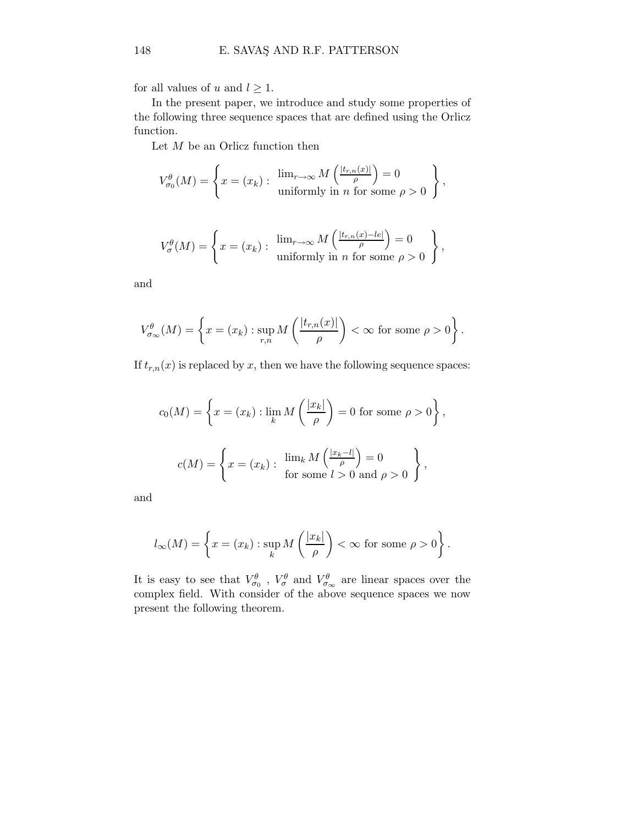for all values of u and  $l \geq 1$ .

In the present paper, we introduce and study some properties of the following three sequence spaces that are defined using the Orlicz function.

Let  $M$  be an Orlicz function then

$$
V_{\sigma_0}^{\theta}(M) = \left\{ x = (x_k) : \begin{array}{c} \lim_{r \to \infty} M\left(\frac{|t_{r,n}(x)|}{\rho}\right) = 0 \\ \text{uniformly in } n \text{ for some } \rho > 0 \end{array} \right\},\,
$$

$$
V_{\sigma}^{\theta}(M) = \left\{ x = (x_k) : \begin{array}{c} \lim_{r \to \infty} M\left(\frac{|t_{r,n}(x) - le|}{\rho}\right) = 0 \\ \text{uniformly in } n \text{ for some } \rho > 0 \end{array} \right\},\,
$$

and

$$
V_{\sigma_{\infty}}^{\theta}(M) = \left\{ x = (x_k) : \sup_{r,n} M\left(\frac{|t_{r,n}(x)|}{\rho}\right) < \infty \text{ for some } \rho > 0 \right\}.
$$

If  $t_{r,n}(x)$  is replaced by x, then we have the following sequence spaces:

$$
c_0(M) = \left\{ x = (x_k) : \lim_k M\left(\frac{|x_k|}{\rho}\right) = 0 \text{ for some } \rho > 0 \right\},\
$$
  

$$
c(M) = \left\{ x = (x_k) : \lim_k M\left(\frac{|x_k - l|}{\rho}\right) = 0 \right\},\
$$
  
for some  $l > 0$  and  $\rho > 0$ 

and

$$
l_{\infty}(M) = \left\{ x = (x_k) : \sup_k M\left(\frac{|x_k|}{\rho}\right) < \infty \text{ for some } \rho > 0 \right\}.
$$

It is easy to see that  $V^{\theta}_{\sigma_0}$ ,  $V^{\theta}_{\sigma}$  and  $V^{\theta}_{\sigma_{\infty}}$  are linear spaces over the complex field. With consider of the above sequence spaces we now present the following theorem.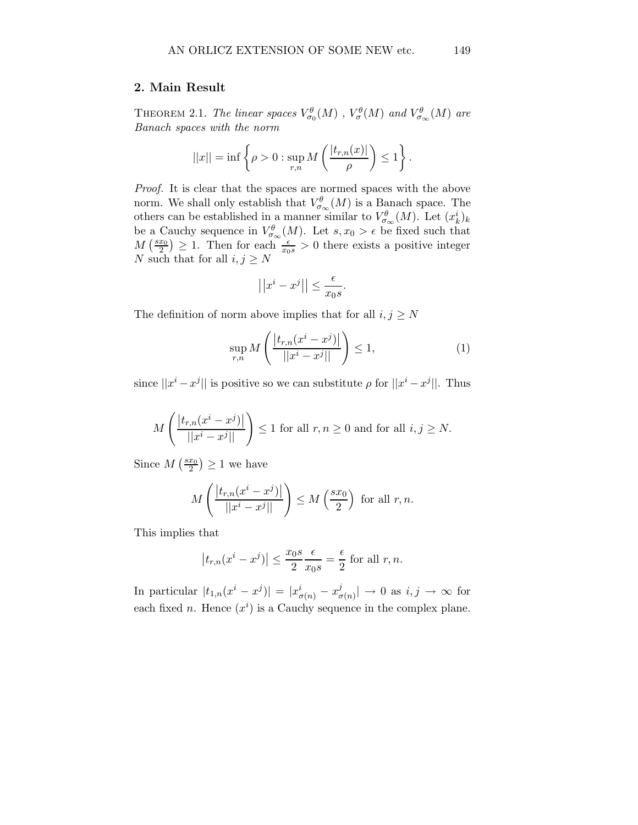## 2. Main Result

THEOREM 2.1. The linear spaces  $V^{\theta}_{\sigma_0}(M)$  ,  $V^{\theta}_{\sigma}(M)$  and  $V^{\theta}_{\sigma_{\infty}}(M)$  are Banach spaces with the norm

$$
||x|| = \inf \left\{ \rho > 0 : \sup_{r,n} M\left(\frac{|t_{r,n}(x)|}{\rho}\right) \le 1 \right\}.
$$

Proof. It is clear that the spaces are normed spaces with the above norm. We shall only establish that  $V^{\theta}_{\sigma_{\infty}}(M)$  is a Banach space. The others can be established in a manner similar to  $V^{\theta}_{\sigma_{\infty}}(M)$ . Let  $(x_k^i)_k$ be a Cauchy sequence in  $V_{\sigma_\infty}^{\theta}(M)$ . Let  $s, x_0 > \epsilon$  be fixed such that  $M\left(\frac{sx_0}{2}\right) \geq 1$ . Then for each  $\frac{\epsilon}{x_0s} > 0$  there exists a positive integer N such that for all  $i, j \geq N$ 

$$
\left| \left| x^i - x^j \right| \right| \leq \frac{\epsilon}{x_0 s}.
$$

The definition of norm above implies that for all  $i, j \geq N$ 

$$
\sup_{r,n} M\left(\frac{|t_{r,n}(x^i - x^j)|}{||x^i - x^j||}\right) \le 1,\tag{1}
$$

since  $||x^i - x^j||$  is positive so we can substitute  $\rho$  for  $||x^i - x^j||$ . Thus

$$
M\left(\frac{|t_{r,n}(x^{i}-x^{j})|}{||x^{i}-x^{j}||}\right) \le 1
$$
 for all  $r, n \ge 0$  and for all  $i, j \ge N$ .

Since  $M\left(\frac{sx_0}{2}\right) \geq 1$  we have

$$
M\left(\frac{\left|t_{r,n}(x^{i}-x^{j})\right|}{\left|\left|x^{i}-x^{j}\right|\right|}\right) \leq M\left(\frac{sx_{0}}{2}\right) \text{ for all } r, n.
$$

This implies that

$$
|t_{r,n}(x^i - x^j)| \le \frac{x_0 s}{2} \frac{\epsilon}{x_0 s} = \frac{\epsilon}{2}
$$
 for all  $r, n$ .

In particular  $|t_{1,n}(x^i - x^j)| = |x^i_{\sigma(n)} - x^j_{\sigma(n)}|$  $\frac{d^j}{d\sigma(n)}| \to 0 \text{ as } i, j \to \infty \text{ for }$ each fixed *n*. Hence  $(x^{i})$  is a Cauchy sequence in the complex plane.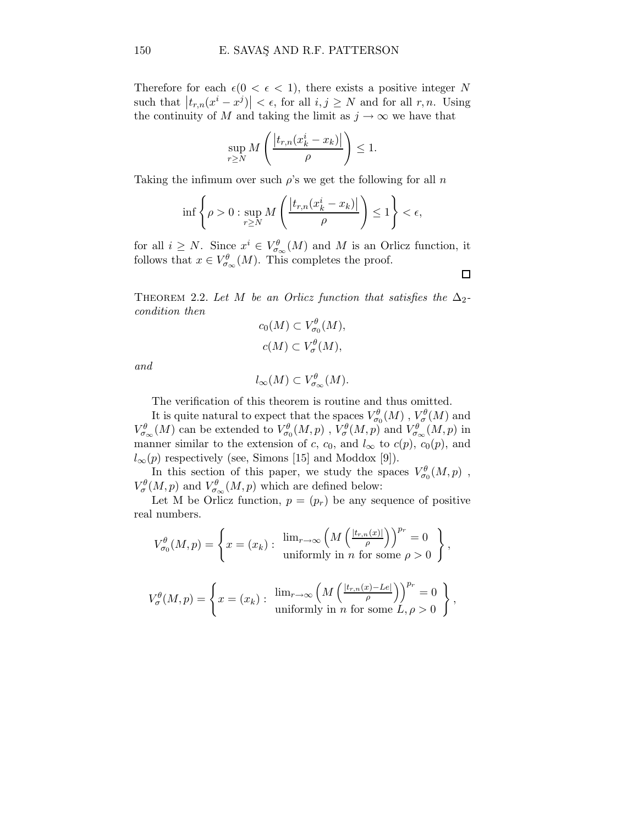Therefore for each  $\epsilon(0 < \epsilon < 1)$ , there exists a positive integer N such that  $|t_{r,n}(x^i - x^j)| < \epsilon$ , for all  $i, j \ge N$  and for all  $r, n$ . Using the continuity of M and taking the limit as  $j \to \infty$  we have that

$$
\sup_{r\geq N} M\left(\frac{|t_{r,n}(x_k^i-x_k)|}{\rho}\right) \leq 1.
$$

Taking the infimum over such  $\rho$ 's we get the following for all n

$$
\inf \left\{ \rho > 0 : \sup_{r \ge N} M \left( \frac{|t_{r,n}(x_k^i - x_k)|}{\rho} \right) \le 1 \right\} < \epsilon,
$$

for all  $i \geq N$ . Since  $x^i \in V^\theta_{\sigma_\infty}(M)$  and M is an Orlicz function, it follows that  $x \in V_{\sigma_{\infty}}^{\theta}(M)$ . This completes the proof.

 $\Box$ 

THEOREM 2.2. Let M be an Orlicz function that satisfies the  $\Delta_2$ condition then

$$
c_0(M) \subset V^{\theta}_{\sigma_0}(M),
$$
  

$$
c(M) \subset V^{\theta}_{\sigma}(M),
$$

and

$$
l_{\infty}(M) \subset V^{\theta}_{\sigma_{\infty}}(M).
$$

The verification of this theorem is routine and thus omitted.

It is quite natural to expect that the spaces  $V^{\theta}_{\sigma_0}(M)$ ,  $V^{\theta}_{\sigma}(M)$  and  $V_{\sigma_\infty}^{\theta}(M)$  can be extended to  $V_{\sigma_0}^{\theta}(M,p)$  ,  $V_{\sigma}^{\theta}(M,p)$  and  $V_{\sigma_\infty}^{\theta}(M,p)$  in manner similar to the extension of c, c<sub>0</sub>, and  $l_{\infty}$  to c(p), c<sub>0</sub>(p), and  $l_{\infty}(p)$  respectively (see, Simons [15] and Moddox [9]).

In this section of this paper, we study the spaces  $V^{\theta}_{\sigma_0}(M,p)$ ,  $V^{\theta}_{\sigma}(M,p)$  and  $V^{\theta}_{\sigma\infty}(M,p)$  which are defined below:

Let M be Orlicz function,  $p = (p_r)$  be any sequence of positive real numbers.

$$
V_{\sigma_0}^{\theta}(M,p) = \left\{ x = (x_k) : \begin{array}{c} \lim_{r \to \infty} \left( M \left( \frac{|t_{r,n}(x)|}{\rho} \right) \right)^{p_r} = 0 \\ \text{uniformly in } n \text{ for some } \rho > 0 \end{array} \right\},\,
$$

$$
V_{\sigma}^{\theta}(M,p) = \left\{ x = (x_k) : \begin{array}{c} \lim_{r \to \infty} \left( M \left( \frac{|t_{r,n}(x) - Le|}{\rho} \right) \right)^{p_r} = 0 \\ \text{uniformly in } n \text{ for some } L, \rho > 0 \end{array} \right\},\,
$$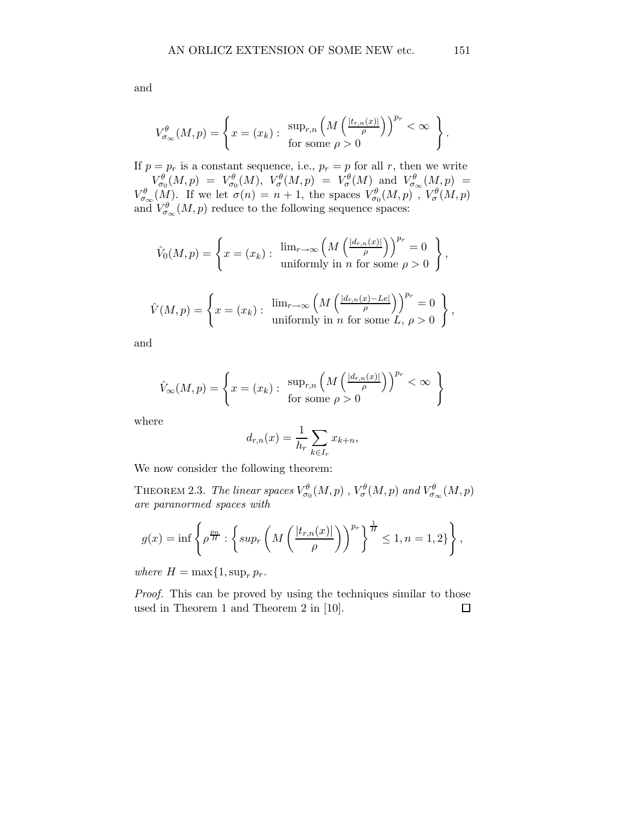.

,

$$
V_{\sigma_{\infty}}^{\theta}(M,p) = \left\{ x = (x_k) : \begin{array}{c} \sup_{r,n} \left( M\left( \frac{|t_{r,n}(x)|}{\rho} \right) \right)^{p_r} < \infty \\ \text{for some } \rho > 0 \end{array} \right\}
$$

If  $p = p_r$  is a constant sequence, i.e.,  $p_r = p$  for all r, then we write  $V_{\sigma_0}^{\theta}(M,p) \;=\; V_{\sigma_0}^{\theta}(M),\; \, V_{\sigma}^{\theta}(M,p) \;=\; V_{\sigma}^{\theta}(M) \; \; {\rm and} \; \; V_{\sigma_{\infty}}^{\theta}(M,p) \;=\;$  $V^{\theta}_{\sigma_{\infty}}(M)$ . If we let  $\sigma(n) = n + 1$ , the spaces  $V^{\theta}_{\sigma_{0}}(M, p)$ ,  $V^{\theta}_{\sigma}(M, p)$ and  $V_{\sigma_{\infty}}^{\theta}(M, p)$  reduce to the following sequence spaces:

$$
\hat{V}_0(M, p) = \left\{ x = (x_k) : \begin{array}{c} \lim_{r \to \infty} \left( M \left( \frac{|d_{r,n}(x)|}{\rho} \right) \right)^{p_r} = 0 \\ \text{uniformly in } n \text{ for some } \rho > 0 \end{array} \right\}
$$

$$
\hat{V}(M,p) = \left\{ x = (x_k) : \begin{array}{c} \lim_{r \to \infty} \left( M \left( \frac{|d_{r,n}(x) - Le|}{\rho} \right) \right)^{p_r} = 0 \\ \text{uniformly in } n \text{ for some } L, \, \rho > 0 \end{array} \right\},
$$

and

$$
\hat{V}_{\infty}(M, p) = \left\{ x = (x_k) : \begin{array}{c} \sup_{r,n} \left( M \left( \frac{|d_{r,n}(x)|}{\rho} \right) \right)^{p_r} < \infty \\ \text{for some } \rho > 0 \end{array} \right\}
$$

where

$$
d_{r,n}(x) = \frac{1}{h_r} \sum_{k \in I_r} x_{k+n},
$$

We now consider the following theorem:

THEOREM 2.3. The linear spaces  $V^{\theta}_{\sigma_0}(M,p)$  ,  $V^{\theta}_{\sigma}(M,p)$  and  $V^{\theta}_{\sigma_{\infty}}(M,p)$ are paranormed spaces with

$$
g(x) = \inf \left\{ \rho^{\frac{p_n}{H}} : \left\{ \sup_r \left( M \left( \frac{|t_{r,n}(x)|}{\rho} \right) \right)^{p_r} \right\}^{\frac{1}{H}} \le 1, n = 1, 2 \right\} \right\},\
$$

where  $H = \max\{1, \sup_r p_r$ .

Proof. This can be proved by using the techniques similar to those used in Theorem 1 and Theorem 2 in [10]. $\Box$ 

and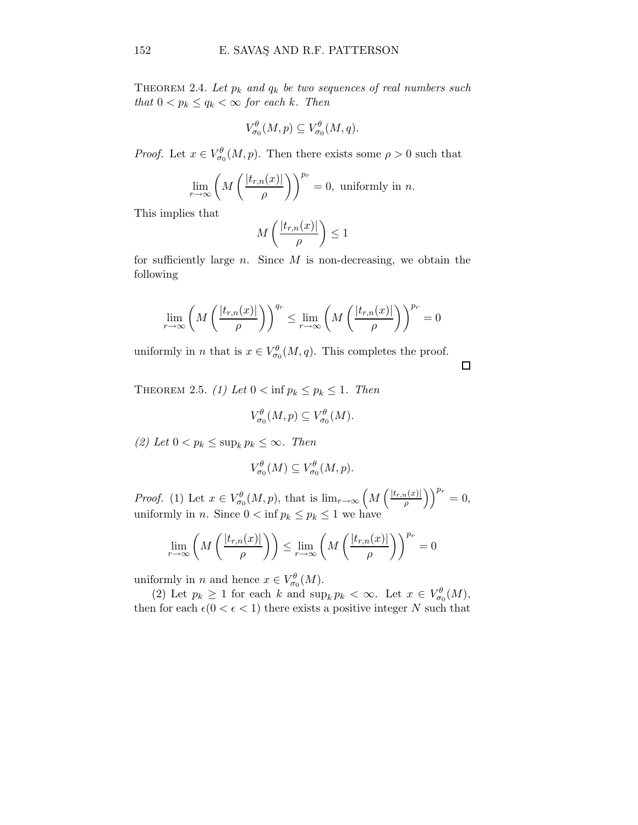THEOREM 2.4. Let  $p_k$  and  $q_k$  be two sequences of real numbers such that  $0 < p_k \leq q_k < \infty$  for each k. Then

$$
V^{\theta}_{\sigma_0}(M,p) \subseteq V^{\theta}_{\sigma_0}(M,q).
$$

*Proof.* Let  $x \in V^{\theta}_{\sigma_0}(M, p)$ . Then there exists some  $\rho > 0$  such that

$$
\lim_{r \to \infty} \left( M\left( \frac{|t_{r,n}(x)|}{\rho} \right) \right)^{p_r} = 0, \text{ uniformly in } n.
$$

This implies that

$$
M\left(\frac{|t_{r,n}(x)|}{\rho}\right) \le 1
$$

for sufficiently large  $n$ . Since  $M$  is non-decreasing, we obtain the following

$$
\lim_{r \to \infty} \left( M\left( \frac{|t_{r,n}(x)|}{\rho} \right) \right)^{q_r} \leq \lim_{r \to \infty} \left( M\left( \frac{|t_{r,n}(x)|}{\rho} \right) \right)^{p_r} = 0
$$

uniformly in *n* that is  $x \in V^{\theta}_{\sigma_0}(M, q)$ . This completes the proof.

 $\Box$ 

THEOREM 2.5. (1) Let  $0 < \inf p_k \leq p_k \leq 1$ . Then

$$
V^{\theta}_{\sigma_0}(M,p) \subseteq V^{\theta}_{\sigma_0}(M).
$$

(2) Let  $0 < p_k \le \sup_k p_k \le \infty$ . Then

$$
V^{\theta}_{\sigma_0}(M) \subseteq V^{\theta}_{\sigma_0}(M,p).
$$

*Proof.* (1) Let  $x \in V^{\theta}_{\sigma_0}(M, p)$ , that is  $\lim_{r \to \infty} \left( M\left(\frac{|t_{r,n}(x)|}{\rho}\right)\right)$  $\left(\frac{p(x)}{p}\right)^{p_r} = 0,$ uniformly in *n*. Since  $0 < \inf p_k \leq p_k \leq 1$  we have

$$
\lim_{r \to \infty} \left( M\left( \frac{|t_{r,n}(x)|}{\rho} \right) \right) \le \lim_{r \to \infty} \left( M\left( \frac{|t_{r,n}(x)|}{\rho} \right) \right)^{p_r} = 0
$$

uniformly in *n* and hence  $x \in V^{\theta}_{\sigma_0}(M)$ .

(2) Let  $p_k \ge 1$  for each k and  $\sup_k p_k < \infty$ . Let  $x \in V^{\theta}_{\sigma_0}(M)$ , then for each  $\epsilon(0 < \epsilon < 1)$  there exists a positive integer N such that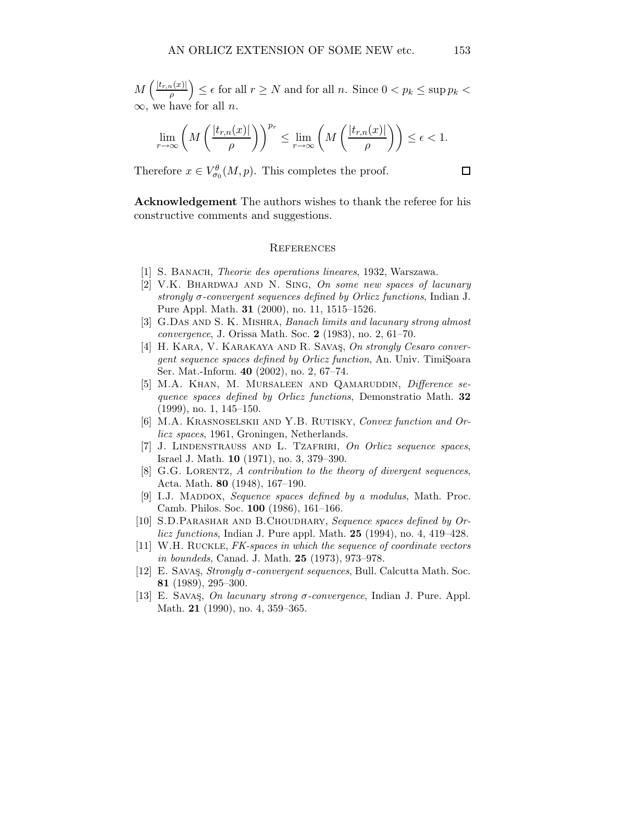$M\left(\frac{|t_{r,n}(x)|}{a}\right)$  $\left(\frac{n(x)|}{\rho}\right) \leq \epsilon$  for all  $r \geq N$  and for all n. Since  $0 < p_k \leq \sup p_k < \epsilon$  $\infty$ , we have for all *n*.

$$
\lim_{r \to \infty} \left( M\left( \frac{|t_{r,n}(x)|}{\rho} \right) \right)^{p_r} \le \lim_{r \to \infty} \left( M\left( \frac{|t_{r,n}(x)|}{\rho} \right) \right) \le \epsilon < 1.
$$

Therefore  $x \in V^{\theta}_{\sigma_0}(M, p)$ . This completes the proof.

Acknowledgement The authors wishes to thank the referee for his constructive comments and suggestions.

## **REFERENCES**

- [1] S. BANACH, *Theorie des operations lineares*, 1932, Warszawa.
- [2] V.K. BHARDWAJ AND N. SING, On some new spaces of lacunary strongly  $\sigma$ -convergent sequences defined by Orlicz functions, Indian J. Pure Appl. Math. 31 (2000), no. 11, 1515–1526.
- [3] G.Das AND S. K. MISHRA, Banach limits and lacunary strong almost convergence, J. Orissa Math. Soc. 2 (1983), no. 2, 61–70.
- [4] H. KARA, V. KARAKAYA AND R. SAVAS, On strongly Cesaro convergent sequence spaces defined by Orlicz function, An. Univ. TimiŞoara Ser. Mat.-Inform. 40 (2002), no. 2, 67–74.
- [5] M.A. KHAN, M. MURSALEEN AND QAMARUDDIN, Difference sequence spaces defined by Orlicz functions, Demonstratio Math. 32 (1999), no. 1, 145–150.
- [6] M.A. KRASNOSELSKII AND Y.B. RUTISKY, Convex function and Orlicz spaces, 1961, Groningen, Netherlands.
- [7] J. LINDENSTRAUSS AND L. TZAFRIRI, On Orlicz sequence spaces, Israel J. Math. 10 (1971), no. 3, 379–390.
- [8] G.G. LORENTZ, A contribution to the theory of divergent sequences, Acta. Math. 80 (1948), 167–190.
- [9] I.J. MADDOX, Sequence spaces defined by a modulus, Math. Proc. Camb. Philos. Soc. 100 (1986), 161–166.
- [10] S.D.PARASHAR AND B.CHOUDHARY, Sequence spaces defined by Orlicz functions, Indian J. Pure appl. Math. 25 (1994), no. 4, 419–428.
- [11] W.H. Ruckle, FK-spaces in which the sequence of coordinate vectors in boundeds, Canad. J. Math. 25 (1973), 973–978.
- [12] E. Savas¸, Strongly σ-convergent sequences, Bull. Calcutta Math. Soc. 81 (1989), 295–300.
- [13] E. SAVAS, On lacunary strong  $\sigma$ -convergence, Indian J. Pure. Appl. Math. 21 (1990), no. 4, 359–365.

 $\Box$